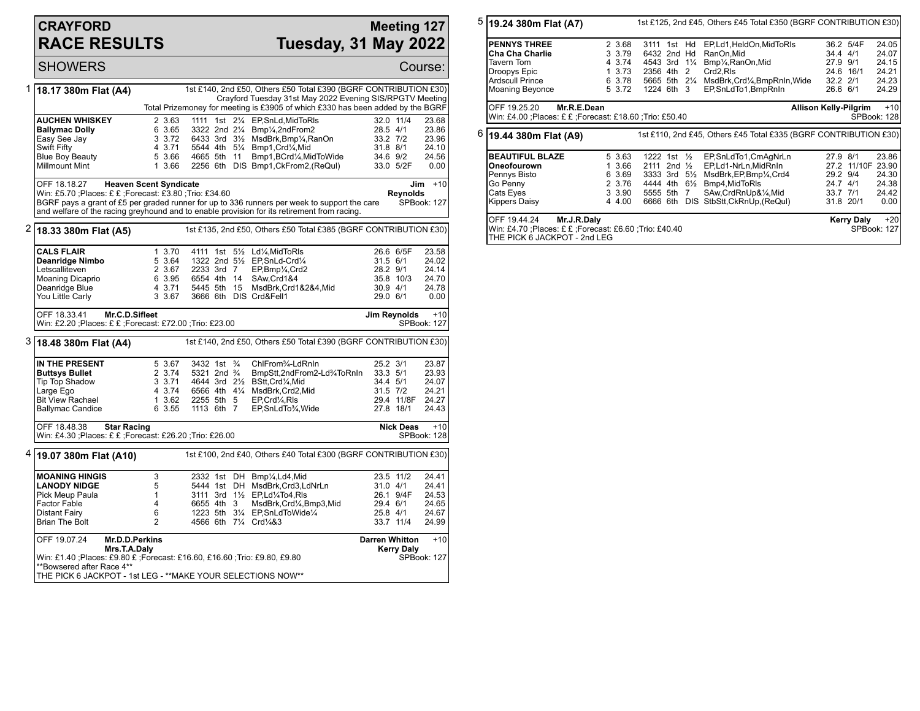## **CRAYFORD RACE RESULTS**

## **Meeting 127 Tuesday, 31 May 2022**

|   | <b>SHOWERS</b>                                                                                                                                                                                                                                                                                                                                         |                                                                                       |                                                                                                          |  |  |                                                                                                                                                                                                                                                    |                                              |                                     | Course:                                            |
|---|--------------------------------------------------------------------------------------------------------------------------------------------------------------------------------------------------------------------------------------------------------------------------------------------------------------------------------------------------------|---------------------------------------------------------------------------------------|----------------------------------------------------------------------------------------------------------|--|--|----------------------------------------------------------------------------------------------------------------------------------------------------------------------------------------------------------------------------------------------------|----------------------------------------------|-------------------------------------|----------------------------------------------------|
| 1 | 1st £140, 2nd £50, Others £50 Total £390 (BGRF CONTRIBUTION £30)<br>18.17 380m Flat (A4)<br>Crayford Tuesday 31st May 2022 Evening SIS/RPGTV Meeting<br>Total Prizemoney for meeting is £3905 of which £330 has been added by the BGRF                                                                                                                 |                                                                                       |                                                                                                          |  |  |                                                                                                                                                                                                                                                    |                                              |                                     |                                                    |
|   | <b>AUCHEN WHISKEY</b><br><b>Ballymac Dolly</b><br>Easy See Jay<br>Swift Fifty<br><b>Blue Boy Beauty</b><br><b>Millmount Mint</b>                                                                                                                                                                                                                       | 2 3.63<br>6 3.65<br>3 3.72<br>4 3.71<br>5 3.66<br>1 3.66                              | 4665 5th 11                                                                                              |  |  | 1111 1st 21/4 EP, SnLd, MidToRIs<br>3322 2nd 21/4 Bmp1/4,2ndFrom2<br>6433 3rd 31/ <sub>2</sub> MsdBrk, Bmp1/ <sub>4</sub> , RanOn<br>5544 4th 51/4 Bmp1, Crd1/4, Mid<br>Bmp1,BCrd1/ <sub>4</sub> ,MidToWide<br>2256 6th DIS Bmp1, CkFrom2, (ReQul) | 28.5 4/1<br>33.2 7/2<br>31.8 8/1<br>34.6 9/2 | 32.0 11/4<br>33.0 5/2F              | 23.68<br>23.86<br>23.96<br>24.10<br>24.56<br>0.00  |
|   | OFF 18.18.27<br><b>Heaven Scent Syndicate</b><br>$Jim + 10$<br>Win: £5.70 ;Places: £ £ ;Forecast: £3.80 ;Trio: £34.60<br><b>Reynolds</b><br>BGRF pays a grant of £5 per graded runner for up to 336 runners per week to support the care<br>SPBook: 127<br>and welfare of the racing greyhound and to enable provision for its retirement from racing. |                                                                                       |                                                                                                          |  |  |                                                                                                                                                                                                                                                    |                                              |                                     |                                                    |
| 2 | 1st £135, 2nd £50, Others £50 Total £385 (BGRF CONTRIBUTION £30)<br>18.33 380m Flat (A5)                                                                                                                                                                                                                                                               |                                                                                       |                                                                                                          |  |  |                                                                                                                                                                                                                                                    |                                              |                                     |                                                    |
|   | <b>CALS FLAIR</b><br>Deanridge Nimbo<br>Letscalliteven<br><b>Moaning Dicaprio</b><br>Deanridge Blue<br>You Little Carly                                                                                                                                                                                                                                | 1 3.70<br>5 3.64<br>2 3.67<br>6 3.95<br>4 3.71<br>3 3.67                              | 2233 3rd 7<br>6554 4th 14<br>5445 5th 15                                                                 |  |  | 4111 1st 51/2 Ld1/4, MidToRIs<br>1322 2nd 51/2 EP.SnLd-Crd1/4<br>EP,Bmp <sup>1</sup> / <sub>4</sub> ,Crd2<br>SAw.Crd1&4<br>MsdBrk,Crd1&2&4,Mid<br>3666 6th DIS Crd&Fell1                                                                           | 31.5 6/1<br>28.2 9/1<br>30.9 4/1<br>29.0 6/1 | 26.6 6/5F<br>35.8 10/3              | 23.58<br>24.02<br>24.14<br>24.70<br>24.78<br>0.00  |
|   | OFF 18.33.41<br>Mr.C.D.Sifleet<br>Jim Reynolds<br>Win: £2.20 ; Places: £ £ ; Forecast: £72.00 ; Trio: £23.00<br><b>SPBook: 127</b>                                                                                                                                                                                                                     |                                                                                       |                                                                                                          |  |  |                                                                                                                                                                                                                                                    |                                              | $+10$                               |                                                    |
|   | $3 $ 18.48 380m Flat (A4)<br>1st £140, 2nd £50, Others £50 Total £390 (BGRF CONTRIBUTION £30)                                                                                                                                                                                                                                                          |                                                                                       |                                                                                                          |  |  |                                                                                                                                                                                                                                                    |                                              |                                     |                                                    |
|   | IN THE PRESENT<br><b>Buttsys Bullet</b><br>Tip Top Shadow<br>Large Ego<br><b>Bit View Rachael</b><br><b>Ballymac Candice</b>                                                                                                                                                                                                                           | 5 3.67<br>2 3.74<br>3, 3.71<br>4 3.74<br>1 3.62<br>6 3.55                             | 3432 1st <sup>3</sup> / <sub>4</sub><br>5321 2nd <sup>3</sup> / <sub>4</sub><br>2255 5th 5<br>1113 6th 7 |  |  | ChlFrom <sup>3</sup> / <sub>4</sub> -LdRnIn<br>BmpStt,2ndFrom2-Ld%ToRnIn<br>4644 3rd 21/2 BStt, Crd1/4, Mid<br>6566 4th 41/4 MsdBrk, Crd2, Mid<br>EP, Crd <sup>1</sup> / <sub>4</sub> , RIs<br>EP,SnLdTo3/4,Wide                                   | 25.2 3/1<br>33.3 5/1<br>34.4 5/1<br>31.5 7/2 | 29.4 11/8F<br>27.8 18/1             | 23.87<br>23.93<br>24.07<br>24.21<br>24.27<br>24.43 |
|   | OFF 18.48.38<br><b>Star Racing</b><br><b>Nick Deas</b><br>Win: £4.30 ;Places: £ £ ;Forecast: £26.20 ;Trio: £26.00<br>SPBook: 128                                                                                                                                                                                                                       |                                                                                       |                                                                                                          |  |  |                                                                                                                                                                                                                                                    |                                              | $+10$                               |                                                    |
| 4 | 19.07 380m Flat (A10)                                                                                                                                                                                                                                                                                                                                  |                                                                                       |                                                                                                          |  |  | 1st £100, 2nd £40, Others £40 Total £300 (BGRF CONTRIBUTION £30)                                                                                                                                                                                   |                                              |                                     |                                                    |
|   | <b>MOANING HINGIS</b><br><b>LANODY NIDGE</b><br>Pick Meup Paula<br>Factor Fable<br>Distant Fairy<br><b>Brian The Bolt</b>                                                                                                                                                                                                                              | 3<br>5<br>1<br>4<br>6<br>$\overline{2}$                                               | 6655 4th 3                                                                                               |  |  | 2332 1st DH Bmp1/4, Ld4, Mid<br>5444 1st DH MsdBrk, Crd3, LdNrLn<br>3111 3rd 11/2 EP, Ld1/4To4, RIs<br>MsdBrk,Crd¼,Bmp3,Mid<br>1223 5th 31/4 EP, SnLdTo Wide 1/4<br>4566 6th 71/4 Crd1/4&3                                                         | 31.0 4/1<br>29.4 6/1<br>25.8 4/1             | 23.5 11/2<br>26.1 9/4F<br>33.7 11/4 | 24.41<br>24.41<br>24.53<br>24.65<br>24.67<br>24.99 |
|   | OFF 19.07.24                                                                                                                                                                                                                                                                                                                                           | <b>Darren Whitton</b><br>Mr.D.D.Perkins<br>$+10$<br>Mrs.T.A.Daly<br><b>Kerry Daly</b> |                                                                                                          |  |  |                                                                                                                                                                                                                                                    |                                              |                                     |                                                    |
|   | Win: £1.40 ;Places: £9.80 £ ;Forecast: £16.60, £16.60 ;Trio: £9.80, £9.80<br>SPBook: 127<br>**Bowsered after Race 4**<br>THE PICK 6 JACKPOT - 1st LEG - **MAKE YOUR SELECTIONS NOW**                                                                                                                                                                   |                                                                                       |                                                                                                          |  |  |                                                                                                                                                                                                                                                    |                                              |                                     |                                                    |

5 **19.24 380m Flat (A7)** 1st £125, 2nd £45, Others £45 Total £350 (BGRF CONTRIBUTION £30) **PENNYS THREE** 2 3.68 3111 1st Hd EP,Ld1,HeldOn,MidToRls 36.2 5/4F 24.05<br> **Cha Cha Charlie** 3 3.79 6432 2nd Hd RanOn,Mid **Cha Cha Charlie** 3 3.79 6432 2nd Hd RanOn, Mid 34.4 4/1 24.07<br>Tavern Tom 3 3.74 4543 3rd 1<sup>1</sup>/<sub>4</sub> Bmp<sup>1</sup>/<sub>4</sub>, RanOn, Mid 27.9 9/1 24.15 Tavern Tom 4 3.74 4543 3rd 1¼ Bmp¼,RanOn,Mid 27.9 9/1 24.15 Droopys Epic 1 3.73 2356 4th 2 Crd2,Rls 24.6 16/1 24.21 Ardscull Prince 6 3.78 5665 5th 2¼ MsdBrk,Crd¼,BmpRnIn,Wide 32.2 2/1 24.23 5 3.72 1224 6th 3 OFF 19.25.20 **Mr.R.E.Dean** Win: £4.00 ;Places: £ £ ;Forecast: £18.60 ;Trio: £50.40 **Allison Kelly-Pilgrim** +10 SPBook: 128 6 **19.44 380m Flat (A9)** 1st £110, 2nd £45, Others £45 Total £335 (BGRF CONTRIBUTION £30) **BEAUTIFUL BLAZE** 5 3.63 1222 1st ½ EP,SnLdTo1,CmAgNrLn 27.9 8/1 23.86 **Oneofourown** 1 3.66 2111 2nd ½ EP,Ld1-NrLn,MidRnIn 27.2 11/10F 23.90 Pennys Bisto 6 3.69 3333 3rd 5½ MsdBrk,EP,Bmp¼,Crd4 29.2 9/4 24.30 Go Penny 2 3.76 4444 4th 6½ Bmp4,MidToRls 24.7 4/1 24.38<br>Cats Eyes 3 3.90 5555 5th 7 SAw,CrdRnUp&1/4,Mid 33.7 7/1 24.42 Cats Eyes 3 3.90 5555 5th 7 SAw,CrdRnUp&¼,Mid 33.7 7/1 24.42 6666 6th DIS StbStt,CkRnUp,(ReQul) OFF 19.44.24 **Mr.J.R.Daly** Win: £4.70 ;Places: £ £ ;Forecast: £6.60 ;Trio: £40.40 **Kerry Daly** +20 SPBook: 127

THE PICK 6 JACKPOT - 2nd LEG